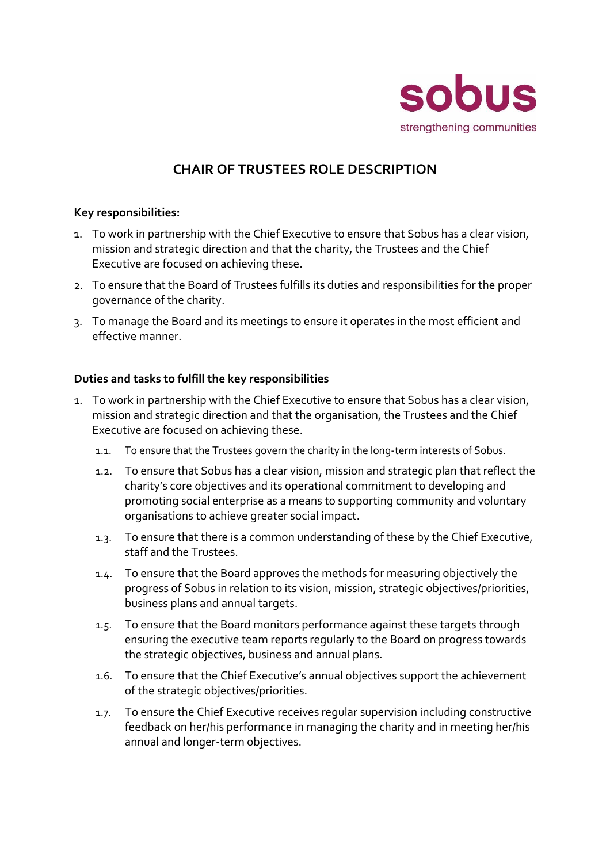

## **CHAIR OF TRUSTEES ROLE DESCRIPTION**

## **Key responsibilities:**

- 1. To work in partnership with the Chief Executive to ensure that Sobus has a clear vision, mission and strategic direction and that the charity, the Trustees and the Chief Executive are focused on achieving these.
- 2. To ensure that the Board of Trustees fulfills its duties and responsibilities for the proper governance of the charity.
- 3. To manage the Board and its meetings to ensure it operates in the most efficient and effective manner.

## **Duties and tasks to fulfill the key responsibilities**

- 1. To work in partnership with the Chief Executive to ensure that Sobus has a clear vision, mission and strategic direction and that the organisation, the Trustees and the Chief Executive are focused on achieving these.
	- 1.1. To ensure that the Trustees govern the charity in the long-term interests of Sobus.
	- 1.2. To ensure that Sobus has a clear vision, mission and strategic plan that reflect the charity's core objectives and its operational commitment to developing and promoting social enterprise as a means to supporting community and voluntary organisations to achieve greater social impact.
	- 1.3. To ensure that there is a common understanding of these by the Chief Executive, staff and the Trustees.
	- 1.4. To ensure that the Board approves the methods for measuring objectively the progress of Sobus in relation to its vision, mission, strategic objectives/priorities, business plans and annual targets.
	- 1.5. To ensure that the Board monitors performance against these targets through ensuring the executive team reports regularly to the Board on progress towards the strategic objectives, business and annual plans.
	- 1.6. To ensure that the Chief Executive's annual objectives support the achievement of the strategic objectives/priorities.
	- 1.7. To ensure the Chief Executive receives regular supervision including constructive feedback on her/his performance in managing the charity and in meeting her/his annual and longer-term objectives.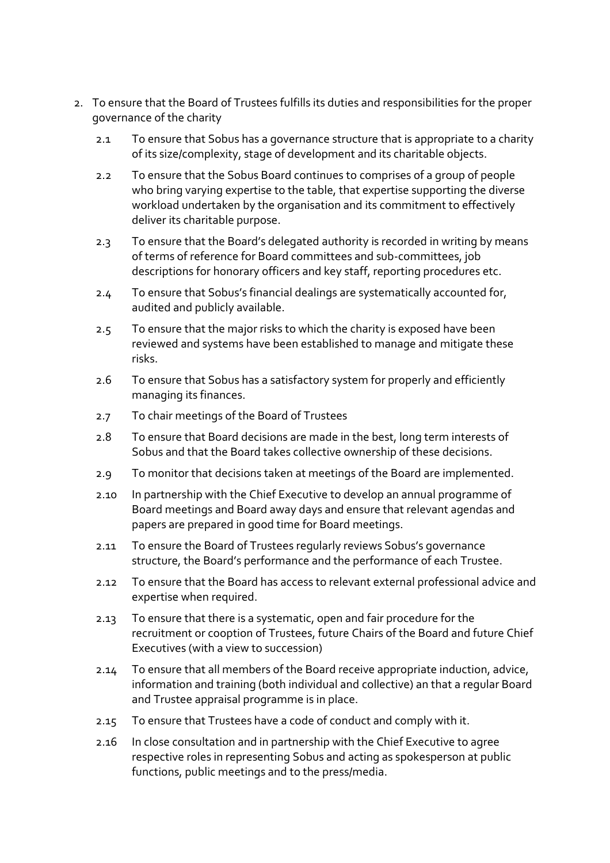- 2. To ensure that the Board of Trustees fulfills its duties and responsibilities for the proper governance of the charity
	- 2.1 To ensure that Sobus has a governance structure that is appropriate to a charity of its size/complexity, stage of development and its charitable objects.
	- 2.2 To ensure that the Sobus Board continues to comprises of a group of people who bring varying expertise to the table, that expertise supporting the diverse workload undertaken by the organisation and its commitment to effectively deliver its charitable purpose.
	- 2.3 To ensure that the Board's delegated authority is recorded in writing by means of terms of reference for Board committees and sub-committees, job descriptions for honorary officers and key staff, reporting procedures etc.
	- 2.4 To ensure that Sobus's financial dealings are systematically accounted for, audited and publicly available.
	- 2.5 To ensure that the major risks to which the charity is exposed have been reviewed and systems have been established to manage and mitigate these risks.
	- 2.6 To ensure that Sobus has a satisfactory system for properly and efficiently managing its finances.
	- 2.7 To chair meetings of the Board of Trustees
	- 2.8 To ensure that Board decisions are made in the best, long term interests of Sobus and that the Board takes collective ownership of these decisions.
	- 2.9 To monitor that decisions taken at meetings of the Board are implemented.
	- 2.10 In partnership with the Chief Executive to develop an annual programme of Board meetings and Board away days and ensure that relevant agendas and papers are prepared in good time for Board meetings.
	- 2.11 To ensure the Board of Trustees regularly reviews Sobus's governance structure, the Board's performance and the performance of each Trustee.
	- 2.12 To ensure that the Board has access to relevant external professional advice and expertise when required.
	- 2.13 To ensure that there is a systematic, open and fair procedure for the recruitment or cooption of Trustees, future Chairs of the Board and future Chief Executives (with a view to succession)
	- 2.14 To ensure that all members of the Board receive appropriate induction, advice, information and training (both individual and collective) an that a regular Board and Trustee appraisal programme is in place.
	- 2.15 To ensure that Trustees have a code of conduct and comply with it.
	- 2.16 In close consultation and in partnership with the Chief Executive to agree respective roles in representing Sobus and acting as spokesperson at public functions, public meetings and to the press/media.